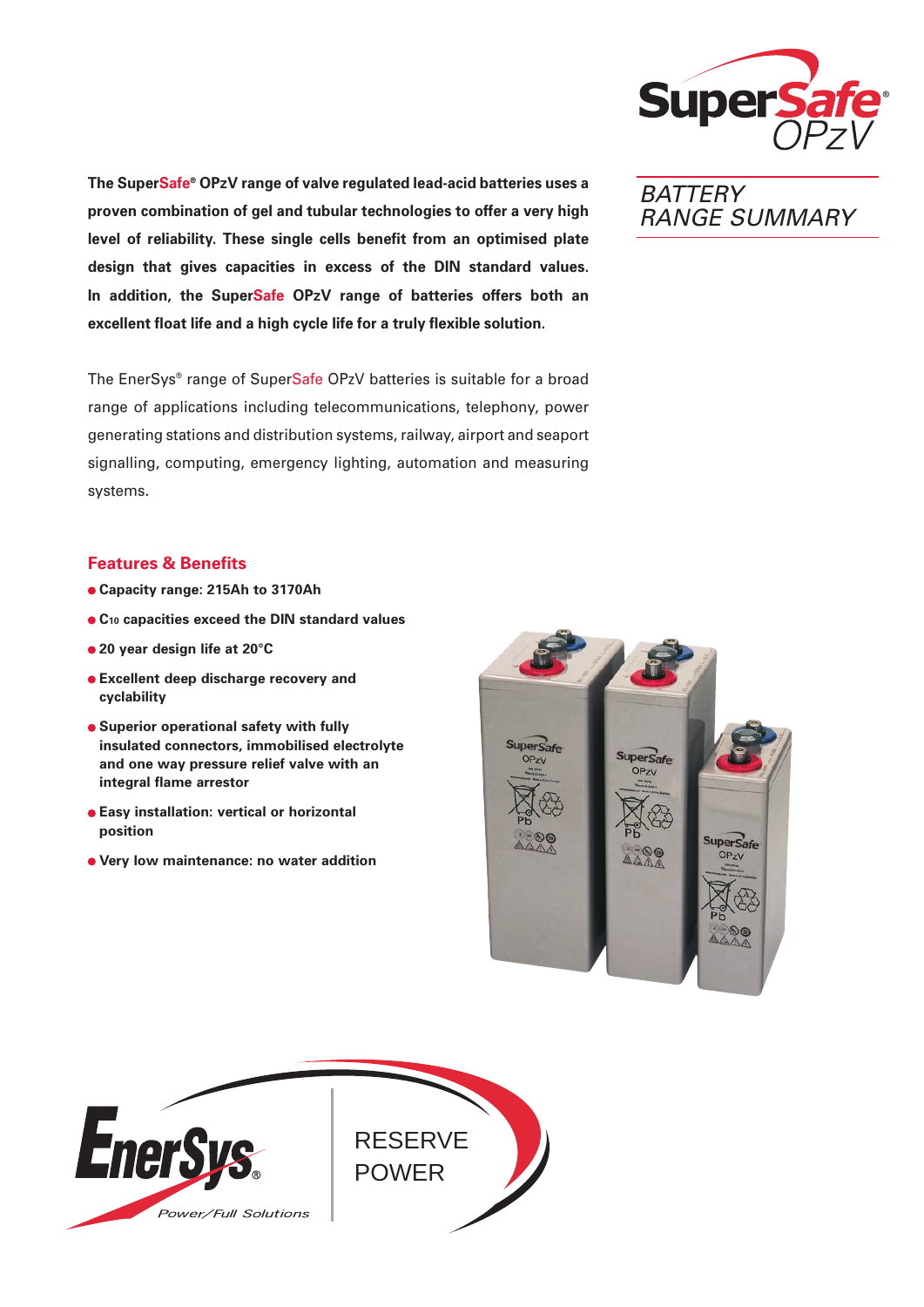

**The SuperSafe® OPzV range of valve regulated lead-acid batteries uses a proven combination of gel and tubular technologies to offer a very high level of reliability. These single cells benefit from an optimised plate design that gives capacities in excess of the DIN standard values. In addition, the SuperSafe OPzV range of batteries offers both an excellent float life and a high cycle life for a truly flexible solution.**

The EnerSys® range of SuperSafe OPzV batteries is suitable for a broad range of applications including telecommunications, telephony, power generating stations and distribution systems, railway, airport and seaport signalling, computing, emergency lighting, automation and measuring systems.

# **Features & Benefits**

- **Capacity range: 215Ah to 3170Ah**
- **C10 capacities exceed the DIN standard values**
- **20 year design life at 20°C**
- **Excellent deep discharge recovery and cyclability**
- **Superior operational safety with fully insulated connectors, immobilised electrolyte and one way pressure relief valve with an integral flame arrestor**
- **Easy installation: vertical or horizontal position**
- **Very low maintenance: no water addition**







**BATTERY** RANGE SUMMARY